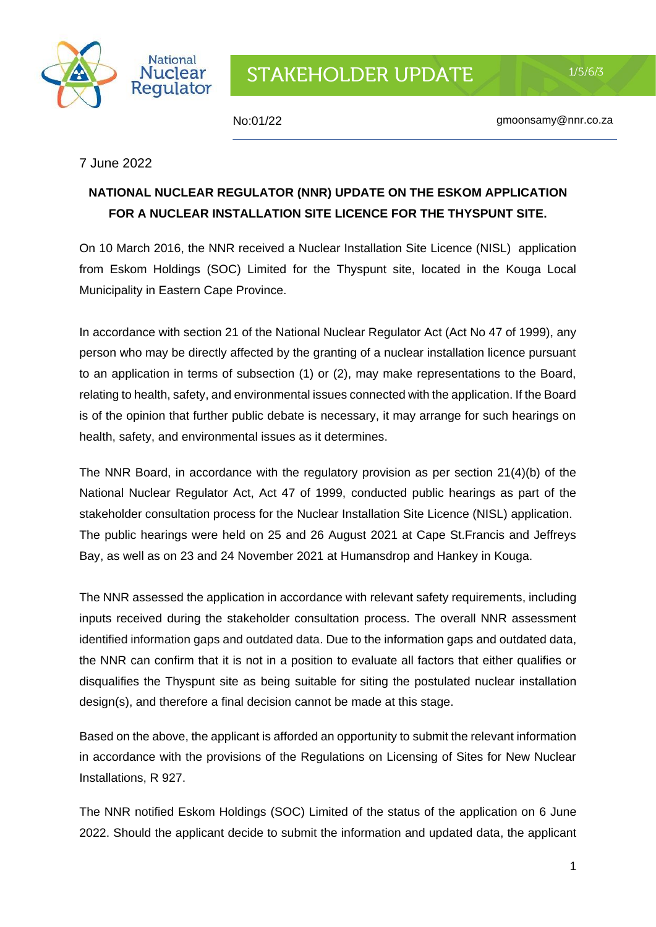

No:01/22 gmoonsamy@nnr.co.za

 $1/5/6/3$ 

## 7 June 2022

## **NATIONAL NUCLEAR REGULATOR (NNR) UPDATE ON THE ESKOM APPLICATION FOR A NUCLEAR INSTALLATION SITE LICENCE FOR THE THYSPUNT SITE.**

On 10 March 2016, the NNR received a Nuclear Installation Site Licence (NISL) application from Eskom Holdings (SOC) Limited for the Thyspunt site, located in the Kouga Local Municipality in Eastern Cape Province.

In accordance with section 21 of the National Nuclear Regulator Act (Act No 47 of 1999), any person who may be directly affected by the granting of a nuclear installation licence pursuant to an application in terms of subsection (1) or (2), may make representations to the Board, relating to health, safety, and environmental issues connected with the application. If the Board is of the opinion that further public debate is necessary, it may arrange for such hearings on health, safety, and environmental issues as it determines.

The NNR Board, in accordance with the regulatory provision as per section 21(4)(b) of the National Nuclear Regulator Act, Act 47 of 1999, conducted public hearings as part of the stakeholder consultation process for the Nuclear Installation Site Licence (NISL) application. The public hearings were held on 25 and 26 August 2021 at Cape St.Francis and Jeffreys Bay, as well as on 23 and 24 November 2021 at Humansdrop and Hankey in Kouga.

The NNR assessed the application in accordance with relevant safety requirements, including inputs received during the stakeholder consultation process. The overall NNR assessment identified information gaps and outdated data. Due to the information gaps and outdated data, the NNR can confirm that it is not in a position to evaluate all factors that either qualifies or disqualifies the Thyspunt site as being suitable for siting the postulated nuclear installation design(s), and therefore a final decision cannot be made at this stage.

Based on the above, the applicant is afforded an opportunity to submit the relevant information in accordance with the provisions of the Regulations on Licensing of Sites for New Nuclear Installations, R 927.

The NNR notified Eskom Holdings (SOC) Limited of the status of the application on 6 June 2022. Should the applicant decide to submit the information and updated data, the applicant